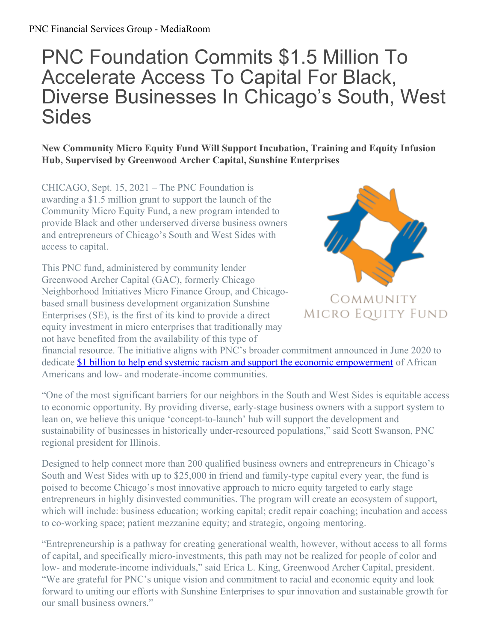## PNC Foundation Commits \$1.5 Million To Accelerate Access To Capital For Black, Diverse Businesses In Chicago's South, West Sides

**New Community Micro Equity Fund Will Support Incubation, Training and Equity Infusion Hub, Supervised by Greenwood Archer Capital, Sunshine Enterprises**

CHICAGO, Sept. 15, 2021 – The PNC Foundation is awarding a \$1.5 million grant to support the launch of the Community Micro Equity Fund, a new program intended to provide Black and other underserved diverse business owners and entrepreneurs of Chicago's South and West Sides with access to capital.

This PNC fund, administered by community lender Greenwood Archer Capital (GAC), formerly Chicago Neighborhood Initiatives Micro Finance Group, and Chicagobased small business development organization Sunshine Enterprises (SE), is the first of its kind to provide a direct equity investment in micro enterprises that traditionally may not have benefited from the availability of this type of



## MICRO EQUITY FUND

financial resource. The initiative aligns with PNC's broader commitment announced in June 2020 to dedicate \$1 billion to help end systemic racism and support the economic [empowerment](https://pnc.mediaroom.com/2020-06-18-PNC-Commits-More-Than-1-Billion-To-Help-End-Systemic-Racism-And-Support-Economic-Empowerment-Of-African-Americans-And-Low-And-Moderate-Income-Communities) of African Americans and low- and moderate-income communities.

"One of the most significant barriers for our neighbors in the South and West Sides is equitable access to economic opportunity. By providing diverse, early-stage business owners with a support system to lean on, we believe this unique 'concept-to-launch' hub will support the development and sustainability of businesses in historically under-resourced populations," said Scott Swanson, PNC regional president for Illinois.

Designed to help connect more than 200 qualified business owners and entrepreneurs in Chicago's South and West Sides with up to \$25,000 in friend and family-type capital every year, the fund is poised to become Chicago's most innovative approach to micro equity targeted to early stage entrepreneurs in highly disinvested communities. The program will create an ecosystem of support, which will include: business education; working capital; credit repair coaching; incubation and access to co-working space; patient mezzanine equity; and strategic, ongoing mentoring.

"Entrepreneurship is a pathway for creating generational wealth, however, without access to all forms of capital, and specifically micro-investments, this path may not be realized for people of color and low- and moderate-income individuals," said Erica L. King, Greenwood Archer Capital, president. "We are grateful for PNC's unique vision and commitment to racial and economic equity and look forward to uniting our efforts with Sunshine Enterprises to spur innovation and sustainable growth for our small business owners."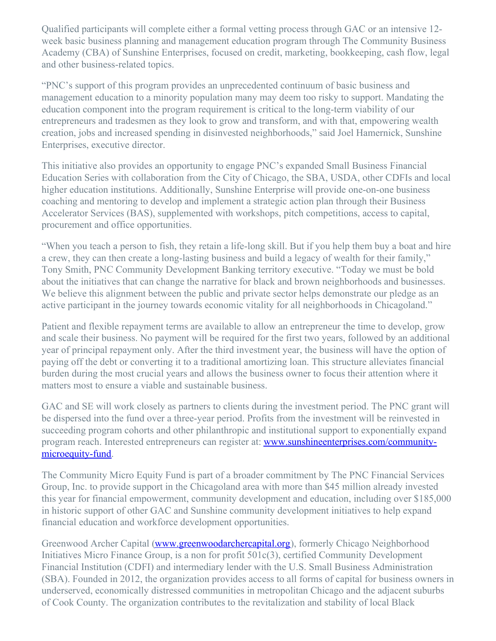Qualified participants will complete either a formal vetting process through GAC or an intensive 12 week basic business planning and management education program through The Community Business Academy (CBA) of Sunshine Enterprises, focused on credit, marketing, bookkeeping, cash flow, legal and other business-related topics.

"PNC's support of this program provides an unprecedented continuum of basic business and management education to a minority population many may deem too risky to support. Mandating the education component into the program requirement is critical to the long-term viability of our entrepreneurs and tradesmen as they look to grow and transform, and with that, empowering wealth creation, jobs and increased spending in disinvested neighborhoods," said Joel Hamernick, Sunshine Enterprises, executive director.

This initiative also provides an opportunity to engage PNC's expanded Small Business Financial Education Series with collaboration from the City of Chicago, the SBA, USDA, other CDFIs and local higher education institutions. Additionally, Sunshine Enterprise will provide one-on-one business coaching and mentoring to develop and implement a strategic action plan through their Business Accelerator Services (BAS), supplemented with workshops, pitch competitions, access to capital, procurement and office opportunities.

"When you teach a person to fish, they retain a life-long skill. But if you help them buy a boat and hire a crew, they can then create a long-lasting business and build a legacy of wealth for their family," Tony Smith, PNC Community Development Banking territory executive. "Today we must be bold about the initiatives that can change the narrative for black and brown neighborhoods and businesses. We believe this alignment between the public and private sector helps demonstrate our pledge as an active participant in the journey towards economic vitality for all neighborhoods in Chicagoland."

Patient and flexible repayment terms are available to allow an entrepreneur the time to develop, grow and scale their business. No payment will be required for the first two years, followed by an additional year of principal repayment only. After the third investment year, the business will have the option of paying off the debt or converting it to a traditional amortizing loan. This structure alleviates financial burden during the most crucial years and allows the business owner to focus their attention where it matters most to ensure a viable and sustainable business.

GAC and SE will work closely as partners to clients during the investment period. The PNC grant will be dispersed into the fund over a three-year period. Profits from the investment will be reinvested in succeeding program cohorts and other philanthropic and institutional support to exponentially expand program reach. Interested entrepreneurs can register at: [www.sunshineenterprises.com/community](http://www.sunshineenterprises.com/community-microequity-fund)microequity-fund.

The Community Micro Equity Fund is part of a broader commitment by The PNC Financial Services Group, Inc. to provide support in the Chicagoland area with more than \$45 million already invested this year for financial empowerment, community development and education, including over \$185,000 in historic support of other GAC and Sunshine community development initiatives to help expand financial education and workforce development opportunities.

Greenwood Archer Capital [\(www.greenwoodarchercapital.org](http://www.greenwoodarchercapital.org)), formerly Chicago Neighborhood Initiatives Micro Finance Group, is a non for profit 501c(3), certified Community Development Financial Institution (CDFI) and intermediary lender with the U.S. Small Business Administration (SBA). Founded in 2012, the organization provides access to all forms of capital for business owners in underserved, economically distressed communities in metropolitan Chicago and the adjacent suburbs of Cook County. The organization contributes to the revitalization and stability of local Black